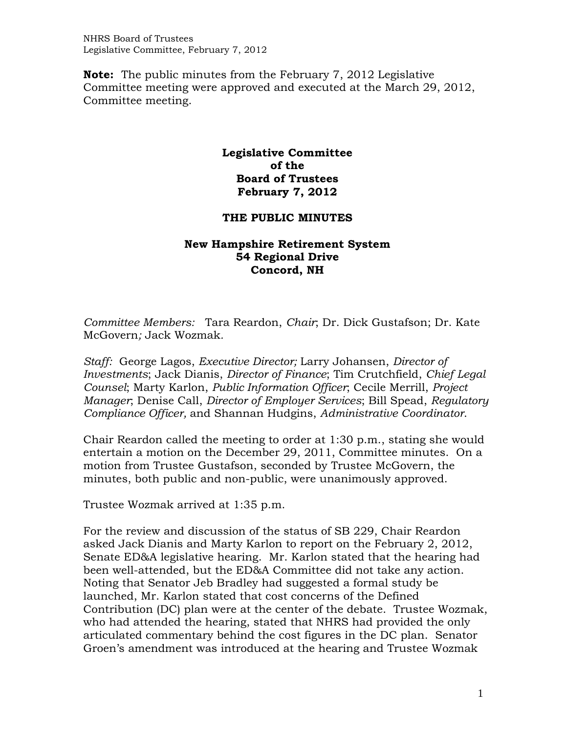NHRS Board of Trustees Legislative Committee, February 7, 2012

**Note:** The public minutes from the February 7, 2012 Legislative Committee meeting were approved and executed at the March 29, 2012, Committee meeting.

## **Legislative Committee of the Board of Trustees February 7, 2012**

## **THE PUBLIC MINUTES**

## **New Hampshire Retirement System 54 Regional Drive Concord, NH**

*Committee Members:* Tara Reardon, *Chair*; Dr. Dick Gustafson; Dr. Kate McGovern*;* Jack Wozmak*.* 

*Staff:* George Lagos, *Executive Director;* Larry Johansen, *Director of Investments*; Jack Dianis, *Director of Finance*; Tim Crutchfield, *Chief Legal Counsel*; Marty Karlon, *Public Information Officer*; Cecile Merrill, *Project Manager*; Denise Call, *Director of Employer Services*; Bill Spead, *Regulatory Compliance Officer,* and Shannan Hudgins, *Administrative Coordinator*.

Chair Reardon called the meeting to order at 1:30 p.m., stating she would entertain a motion on the December 29, 2011, Committee minutes. On a motion from Trustee Gustafson, seconded by Trustee McGovern, the minutes, both public and non-public, were unanimously approved.

Trustee Wozmak arrived at 1:35 p.m.

For the review and discussion of the status of SB 229, Chair Reardon asked Jack Dianis and Marty Karlon to report on the February 2, 2012, Senate ED&A legislative hearing. Mr. Karlon stated that the hearing had been well-attended, but the ED&A Committee did not take any action. Noting that Senator Jeb Bradley had suggested a formal study be launched, Mr. Karlon stated that cost concerns of the Defined Contribution (DC) plan were at the center of the debate. Trustee Wozmak, who had attended the hearing, stated that NHRS had provided the only articulated commentary behind the cost figures in the DC plan. Senator Groen's amendment was introduced at the hearing and Trustee Wozmak